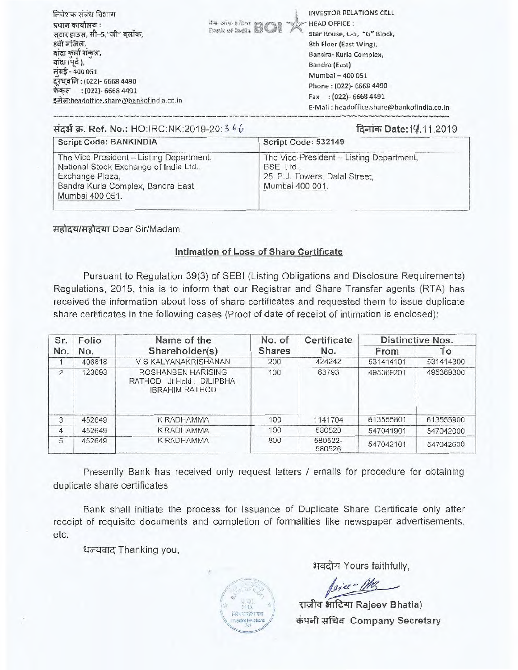| निवेशक संबंध विभाग                      |                                  | <b>INVESTOR RELATIONS CELL</b>             |
|-----------------------------------------|----------------------------------|--------------------------------------------|
| प्रधान कार्यालय :                       | No of a giber ECE<br><b>PARK</b> | <b>HEAD OFFICE:</b>                        |
| सटार हाउस, सी-5,"जी" बलॉक,              |                                  | Star House, C-5, "G" Block,                |
| 8वी मंजिल,                              |                                  | 8th Floor (East Wing),                     |
| बादा कर्ला संकल,                        |                                  | Bandra- Kurla Complex,                     |
| बाद्रा (पूर्व),                         |                                  | Bandra (East)                              |
| मुंबई - 400 051                         |                                  | Mumbai - 400 051                           |
| दूरध्वनिः (022)- 6668 4490              |                                  | Phone: (022)- 6668 4490                    |
| फेंकस : (022)- 6668 4491                |                                  | $:(022) - 66684491$<br>Fax                 |
| इमेल:headoffice.share@bankofindia.co.in |                                  | E-Mail: headoffice.share@bankofindia.co.in |
|                                         |                                  |                                            |

| संदर्भ क्र. Ref. No.: HO:IRC:NK:2019-20: 3 66                                                                                                                  | दिनांक Date: 14.11.2019                                                                                    |
|----------------------------------------------------------------------------------------------------------------------------------------------------------------|------------------------------------------------------------------------------------------------------------|
| Script Code: BANKINDIA                                                                                                                                         | Script Code: 532149                                                                                        |
| The Vice President - Listing Department,<br>National Stock Exchange of India Ltd.,<br>Exchange Plaza,<br>Bandra Kurla Complex, Bandra East,<br>Mumbai 400 051. | The Vice-President - Listing Department,<br>BSE Ltd.,<br>25, P.J. Towers, Dalal Street,<br>Mumbai 400 001. |

महोदय/महोदया Dear Sir/Madam.

## Intimation of Loss of Share Certificate

Pursuant to Regulation 39(3) of SEBI (Listing Obligations and Disclosure Requirements) Regulations, 2015, this is to inform that our Registrar and Share Transfer agents (RTA) has received the information about loss of share certificates and requested them to issue duplicate share certificates in the following cases (Proof of date of receipt of intimation is enclosed):

| Sr.            | Folio  | Name of the                                                              | No. of | Certificate       |           | Distinctive Nos. |
|----------------|--------|--------------------------------------------------------------------------|--------|-------------------|-----------|------------------|
| No.            | No.    | Shareholder(s)                                                           | Shares | No.               | From      | To               |
|                | 406818 | V S KALYANAKRISHANAN                                                     | 200    | 424242            | 531414101 | 531414300        |
| $\overline{2}$ | 123693 | ROSHANBEN HARISING<br>RATHOD Jt Hold: DILIPBHAI<br><b>IBRAHIM RATHOD</b> | 100    | 63793             | 495369201 | 495369300        |
| 3              | 452649 | K RADHAMMA                                                               | 100    | 1141704           | 613555801 | 613555900        |
| 4              | 452649 | <b>K RADHAMMA</b>                                                        | 100    | 580520            | 547041901 | 547042000        |
| $\overline{5}$ | 452649 | <b>K RADHAMMA</b>                                                        | 800    | 580522-<br>580526 | 547042101 | 547042600        |

Presently Bank has received only request letters / emails for procedure for obtaining duplicate share certificates

Bank shall initiate the process for Issuance of Duplicate Share Certificate only after receipt of requisite documents and completion of formalities like newspaper advertisements, etc.

धन्यवाद Thanking you,

अवदीय Yours faithfully,

Ceiver Mrs

राजीव भाटिया Rajeev Bhatia) कंपनी सचिव Company Secretary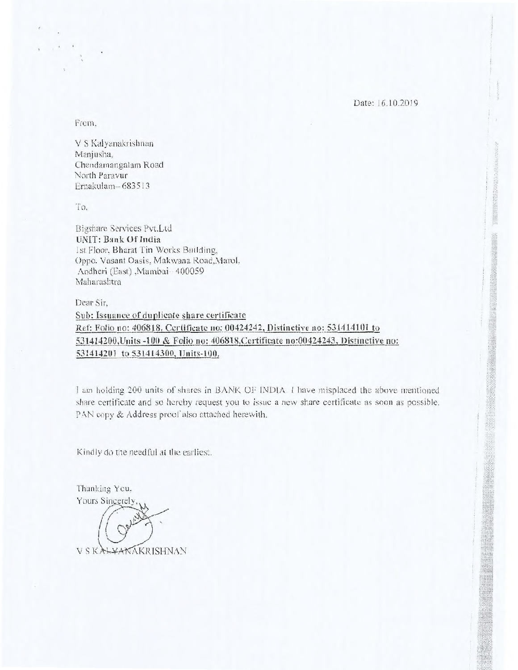Date: 16.10.2019

From,

V S Kalyanakrishnan Manjusha, Chendamangalam Road North Paravur Emakulam— 683513

To.

Bigshare Services Pvt.Ltd UNIT: Bank Of India 1st Floor, Bharat Tin Works Building, Oppo. Vasant Oasis, Makwana Road,Marol, Andheri (East) ,Mumbai— 400059 Maharashtra

Dear Sir, Sub: Issuance of duplicate share certificate Ref: Folio no: 406818, Certificate no: 00424242, Distinctive no: 531414101 to 531414200,Units -100 & Folio no: 406818,Certificate no:00424243, Distinctive no: 531414201 to 531414300, Units-100.

1 am holding 200 units or shares in BANK OF INDIA. I have misplaced the above mentioned share certificate and so hereby request you to issue a new share certificate as soon as possible. PAN copy & Address proof also attached herewith.

Kindly do the needful at the earliest.

Thanking You, Yours Sincerely, V S KALYAKAKRISHNAN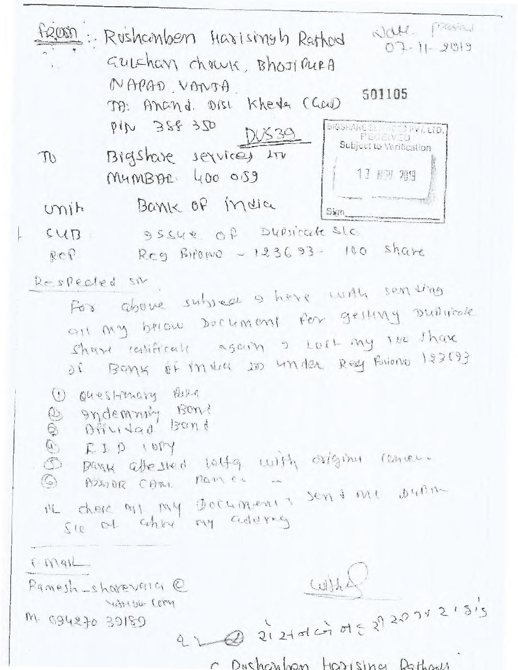| NOM. Present<br>: Rushambers Harisingh Rathod<br>$07 - 11 - 2019$                                                                                                                                                         |
|---------------------------------------------------------------------------------------------------------------------------------------------------------------------------------------------------------------------------|
| GULSHON CHOWK, Bhost PURA<br>NAPAD VANTA<br>501105<br>TA: Anand. Disc Kherla (Cau)<br>PIN 388 350<br><b>BIGSHARE</b><br>PECEIVER THE<br>530                                                                               |
| Subject to Verification<br>Bigshare services in<br>$\mathbb{D}$<br>11 股1 2019<br>MUMBAR 400 0S9                                                                                                                           |
| Bank of India<br>m<br>Sign                                                                                                                                                                                                |
| 95SUR Of DUPSICate SLG<br>SUB<br>Reg Bilowo - 123693- 100 share<br>Rep.                                                                                                                                                   |
| Respected sit<br>For above subseque is have with sen ung<br>all my briow bockment for gelting Duitsicale<br>share ratifically again I Lost my lee share<br>of Bank of india 100 under Reef Pariono 193693                 |
| 1 Questionary PORA<br>Indemning Bond<br>Offer tap Bond<br>@ sydemning Isand<br>@ RIP INY<br>@ RIP INY<br>@ Bank affected latty with origina remove.<br>I'L chese out, my Documents sent me Dunn<br>Sie of after my addrey |
| ENGIL<br>WH<br>Pamesh-shopevaia @<br>was welcher                                                                                                                                                                          |
| $212101$ or $21203121315$<br>M. 094270 39180                                                                                                                                                                              |

C Duchcaloon Harising Dathods